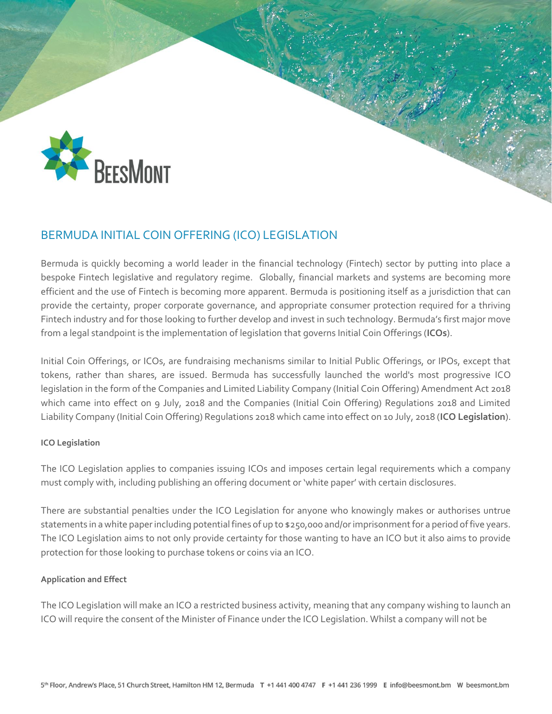

# BERMUDA INITIAL COIN OFFERING (ICO) LEGISLATION

Bermuda is quickly becoming a world leader in the financial technology (Fintech) sector by putting into place a bespoke Fintech legislative and regulatory regime. Globally, financial markets and systems are becoming more efficient and the use of Fintech is becoming more apparent. Bermuda is positioning itself as a jurisdiction that can provide the certainty, proper corporate governance, and appropriate consumer protection required for a thriving Fintech industry and for those looking to further develop and invest in such technology. Bermuda's first major move from a legal standpoint is the implementation of legislation that governs Initial Coin Offerings (**ICOs**).

Initial Coin Offerings, or ICOs, are fundraising mechanisms similar to Initial Public Offerings, or IPOs, except that tokens, rather than shares, are issued. Bermuda has successfully launched the world's most progressive ICO legislation in the form of the Companies and Limited Liability Company (Initial Coin Offering) Amendment Act 2018 which came into effect on 9 July, 2018 and the Companies (Initial Coin Offering) Regulations 2018 and Limited Liability Company (Initial Coin Offering) Regulations 2018 which came into effect on 10 July, 2018 (**ICO Legislation**).

### **ICO Legislation**

The ICO Legislation applies to companies issuing ICOs and imposes certain legal requirements which a company must comply with, including publishing an offering document or 'white paper' with certain disclosures.

There are substantial penalties under the ICO Legislation for anyone who knowingly makes or authorises untrue statements in a white paper including potential fines of up to \$250,000 and/or imprisonment for a period of five years. The ICO Legislation aims to not only provide certainty for those wanting to have an ICO but it also aims to provide protection for those looking to purchase tokens or coins via an ICO.

### **Application and Effect**

The ICO Legislation will make an ICO a restricted business activity, meaning that any company wishing to launch an ICO will require the consent of the Minister of Finance under the ICO Legislation. Whilst a company will not be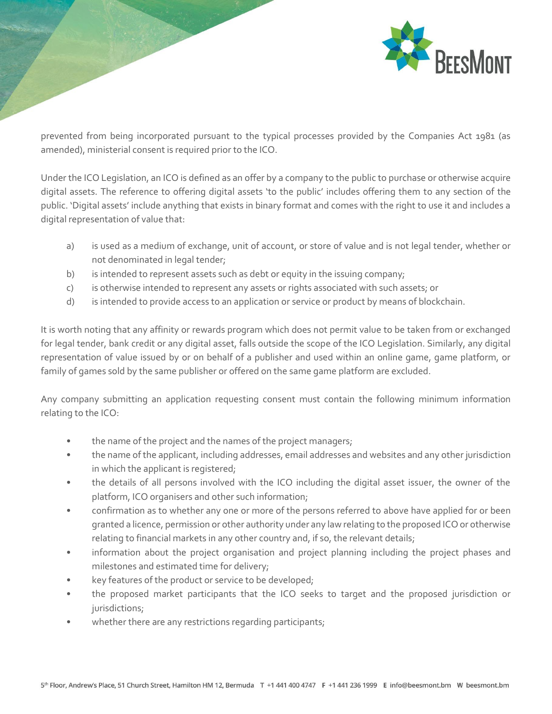

prevented from being incorporated pursuant to the typical processes provided by the Companies Act 1981 (as amended), ministerial consent is required prior to the ICO.

Under the ICO Legislation, an ICO is defined as an offer by a company to the public to purchase or otherwise acquire digital assets. The reference to offering digital assets 'to the public' includes offering them to any section of the public. 'Digital assets' include anything that exists in binary format and comes with the right to use it and includes a digital representation of value that:

- a) is used as a medium of exchange, unit of account, or store of value and is not legal tender, whether or not denominated in legal tender;
- b) is intended to represent assets such as debt or equity in the issuing company;
- c) is otherwise intended to represent any assets or rights associated with such assets; or
- d) is intended to provide access to an application or service or product by means of blockchain.

It is worth noting that any affinity or rewards program which does not permit value to be taken from or exchanged for legal tender, bank credit or any digital asset, falls outside the scope of the ICO Legislation. Similarly, any digital representation of value issued by or on behalf of a publisher and used within an online game, game platform, or family of games sold by the same publisher or offered on the same game platform are excluded.

Any company submitting an application requesting consent must contain the following minimum information relating to the ICO:

- the name of the project and the names of the project managers;
- the name of the applicant, including addresses, email addresses and websites and any other jurisdiction in which the applicant is registered;
- the details of all persons involved with the ICO including the digital asset issuer, the owner of the platform, ICO organisers and other such information;
- confirmation as to whether any one or more of the persons referred to above have applied for or been granted a licence, permission or other authority under any law relating to the proposed ICO or otherwise relating to financial markets in any other country and, if so, the relevant details;
- information about the project organisation and project planning including the project phases and milestones and estimated time for delivery;
- key features of the product or service to be developed;
- the proposed market participants that the ICO seeks to target and the proposed jurisdiction or jurisdictions;
- whether there are any restrictions regarding participants;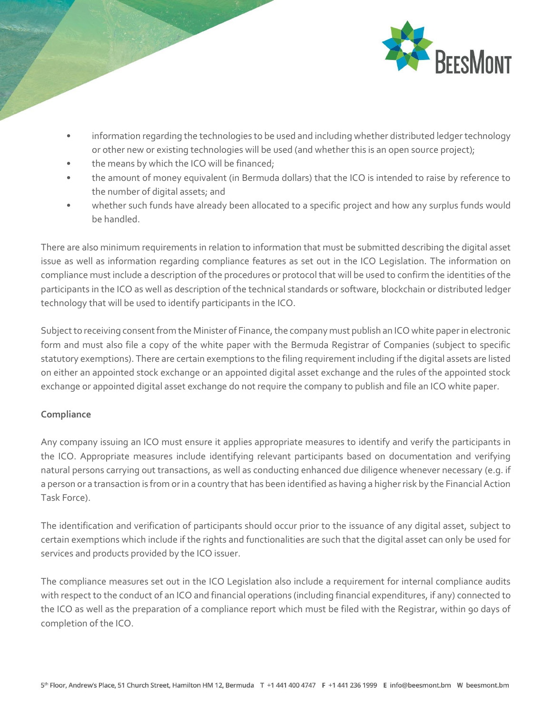

- information regarding the technologies to be used and including whether distributed ledger technology or other new or existing technologies will be used (and whether this is an open source project);
- the means by which the ICO will be financed;
- the amount of money equivalent (in Bermuda dollars) that the ICO is intended to raise by reference to the number of digital assets; and
- whether such funds have already been allocated to a specific project and how any surplus funds would be handled.

There are also minimum requirements in relation to information that must be submitted describing the digital asset issue as well as information regarding compliance features as set out in the ICO Legislation. The information on compliance must include a description of the procedures or protocol that will be used to confirm the identities of the participants in the ICO as well as description of the technical standards or software, blockchain or distributed ledger technology that will be used to identify participants in the ICO.

Subject to receiving consent from the Minister of Finance, the company must publish an ICO white paper in electronic form and must also file a copy of the white paper with the Bermuda Registrar of Companies (subject to specific statutory exemptions). There are certain exemptions to the filing requirement including if the digital assets are listed on either an appointed stock exchange or an appointed digital asset exchange and the rules of the appointed stock exchange or appointed digital asset exchange do not require the company to publish and file an ICO white paper.

## **Compliance**

Any company issuing an ICO must ensure it applies appropriate measures to identify and verify the participants in the ICO. Appropriate measures include identifying relevant participants based on documentation and verifying natural persons carrying out transactions, as well as conducting enhanced due diligence whenever necessary (e.g. if a person or a transaction is from or in a country that has been identified as having a higher risk by the Financial Action Task Force).

The identification and verification of participants should occur prior to the issuance of any digital asset, subject to certain exemptions which include if the rights and functionalities are such that the digital asset can only be used for services and products provided by the ICO issuer.

The compliance measures set out in the ICO Legislation also include a requirement for internal compliance audits with respect to the conduct of an ICO and financial operations (including financial expenditures, if any) connected to the ICO as well as the preparation of a compliance report which must be filed with the Registrar, within 90 days of completion of the ICO.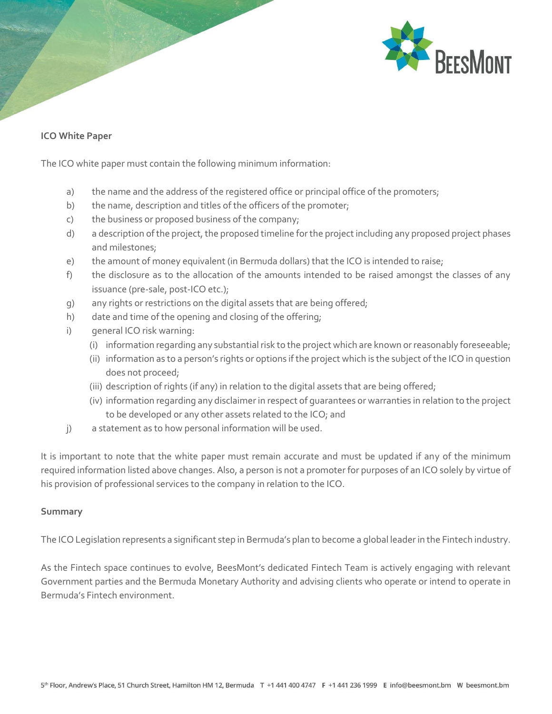

### **ICO White Paper**

The ICO white paper must contain the following minimum information:

- a) the name and the address of the registered office or principal office of the promoters;
- b) the name, description and titles of the officers of the promoter;
- c) the business or proposed business of the company;
- d) a description of the project, the proposed timeline for the project including any proposed project phases and milestones;
- e) the amount of money equivalent (in Bermuda dollars) that the ICO is intended to raise;
- f) the disclosure as to the allocation of the amounts intended to be raised amongst the classes of any issuance (pre-sale, post-ICO etc.);
- g) any rights or restrictions on the digital assets that are being offered;
- h) date and time of the opening and closing of the offering;
- i) general ICO risk warning:
	- (i) information regarding any substantial risk to the project which are known or reasonably foreseeable;
	- (ii) information as to a person's rights or options if the project which is the subject of the ICO in question does not proceed;
	- (iii) description of rights (if any) in relation to the digital assets that are being offered;
	- (iv) information regarding any disclaimer in respect of guarantees or warranties in relation to the project to be developed or any other assets related to the ICO; and
- j) a statement as to how personal information will be used.

It is important to note that the white paper must remain accurate and must be updated if any of the minimum required information listed above changes. Also, a person is not a promoter for purposes of an ICO solely by virtue of his provision of professional services to the company in relation to the ICO.

#### **Summary**

The ICO Legislation represents a significant step in Bermuda's plan to become a global leader in the Fintech industry.

As the Fintech space continues to evolve, BeesMont's dedicated Fintech Team is actively engaging with relevant Government parties and the Bermuda Monetary Authority and advising clients who operate or intend to operate in Bermuda's Fintech environment.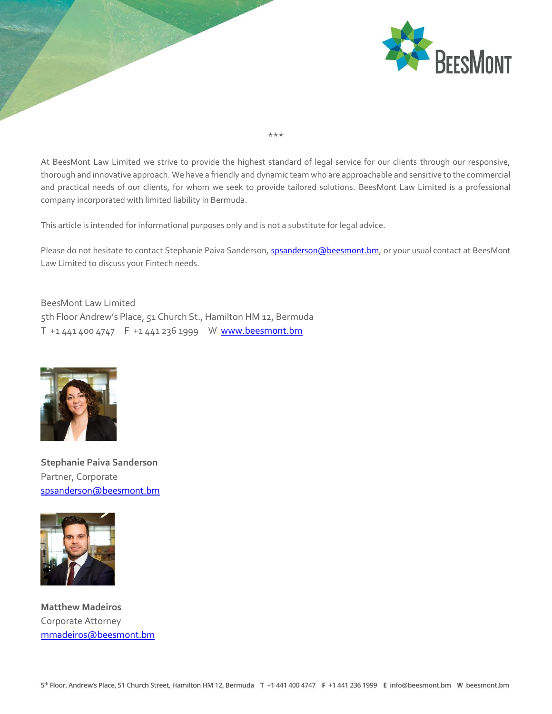

At BeesMont Law Limited we strive to provide the highest standard of legal service for our clients through our responsive, thorough and innovative approach. We have a friendly and dynamic team who are approachable and sensitive to the commercial and practical needs of our clients, for whom we seek to provide tailored solutions. BeesMont Law Limited is a professional company incorporated with limited liability in Bermuda.

\*\*\*

This article is intended for informational purposes only and is not a substitute for legal advice.

Please do not hesitate to contact Stephanie Paiva Sanderson[, spsanderson@beesmont.bm,](mailto:spsanderson@beesmont.bm) or your usual contact at BeesMont Law Limited to discuss your Fintech needs.

BeesMont Law Limited 5th Floor Andrew's Place, 51 Church St., Hamilton HM 12, Bermuda T +1 441 400 4747 F +1 441 236 1999 W www.beesmont.bm



**Stephanie Paiva Sanderson** Partner, Corporate [spsanderson@beesmont.bm](mailto:spsanderson@beesmont.bm)



**Matthew Madeiros** Corporate Attorney [mmadeiros@beesmont.bm](mailto:mmadeiros@beesmont.bm)